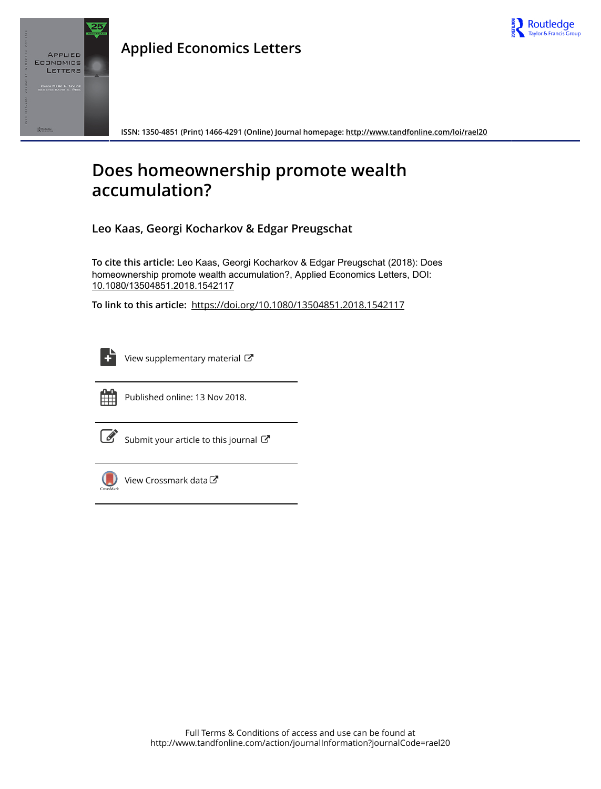

# **Applied Economics Letters**



**ISSN: 1350-4851 (Print) 1466-4291 (Online) Journal homepage:<http://www.tandfonline.com/loi/rael20>**

# **Does homeownership promote wealth accumulation?**

**Leo Kaas, Georgi Kocharkov & Edgar Preugschat**

**To cite this article:** Leo Kaas, Georgi Kocharkov & Edgar Preugschat (2018): Does homeownership promote wealth accumulation?, Applied Economics Letters, DOI: [10.1080/13504851.2018.1542117](http://www.tandfonline.com/action/showCitFormats?doi=10.1080/13504851.2018.1542117)

**To link to this article:** <https://doi.org/10.1080/13504851.2018.1542117>

| - |
|---|

[View supplementary material](http://www.tandfonline.com/doi/suppl/10.1080/13504851.2018.1542117)  $\mathbb{Z}$ 



Published online: 13 Nov 2018.

[Submit your article to this journal](http://www.tandfonline.com/action/authorSubmission?journalCode=rael20&show=instructions)  $\mathbb{Z}$ 



[View Crossmark data](http://crossmark.crossref.org/dialog/?doi=10.1080/13504851.2018.1542117&domain=pdf&date_stamp=2018-11-13) $\mathbb{Z}$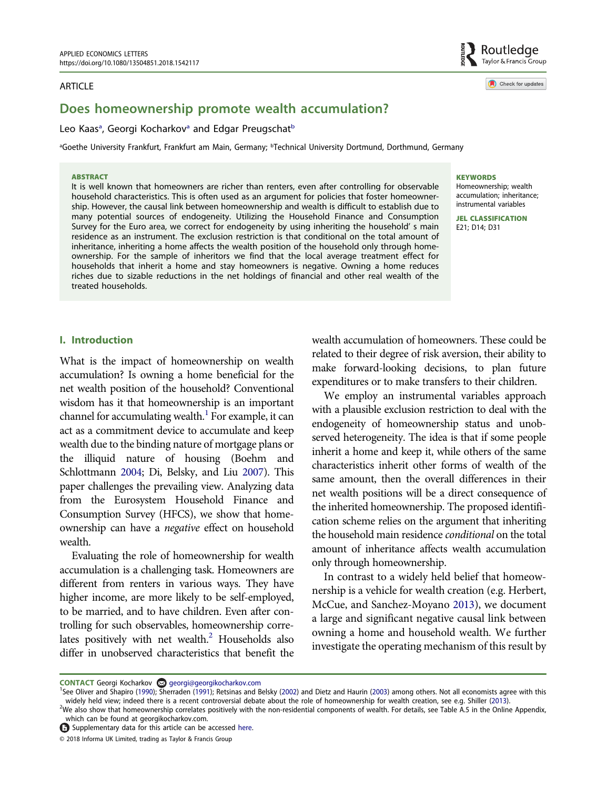#### ARTICLE

# Does homeownership promote wealth accumulation?

## Leo K[a](#page-1-0)as<sup>a</sup>, Georgi Kocharkov<sup>a</sup> and Edgar Preugschat<sup>[b](#page-1-0)</sup>

<span id="page-1-0"></span><sup>a</sup>Goethe University Frankfurt, Frankfurt am Main, Germany; <sup>b</sup>Technical University Dortmund, Dorthmund, Germany

#### ABSTRACT

It is well known that homeowners are richer than renters, even after controlling for observable household characteristics. This is often used as an argument for policies that foster homeownership. However, the causal link between homeownership and wealth is difficult to establish due to many potential sources of endogeneity. Utilizing the Household Finance and Consumption Survey for the Euro area, we correct for endogeneity by using inheriting the household' s main residence as an instrument. The exclusion restriction is that conditional on the total amount of inheritance, inheriting a home affects the wealth position of the household only through homeownership. For the sample of inheritors we find that the local average treatment effect for households that inherit a home and stay homeowners is negative. Owning a home reduces riches due to sizable reductions in the net holdings of financial and other real wealth of the treated households.

#### **KEYWORDS**

Homeownership; wealth accumulation; inheritance; instrumental variables

JEL CLASSIFICATION E21; D14; D31

## I. Introduction

What is the impact of homeownership on wealth accumulation? Is owning a home beneficial for the net wealth position of the household? Conventional wisdom has it that homeownership is an important channel for accumulating wealth. $<sup>1</sup>$  For example, it can</sup> act as a commitment device to accumulate and keep wealth due to the binding nature of mortgage plans or the illiquid nature of housing (Boehm and Schlottmann [2004;](#page-6-0) Di, Belsky, and Liu [2007](#page-6-1)). This paper challenges the prevailing view. Analyzing data from the Eurosystem Household Finance and Consumption Survey (HFCS), we show that homeownership can have a negative effect on household wealth.

<span id="page-1-3"></span>Evaluating the role of homeownership for wealth accumulation is a challenging task. Homeowners are different from renters in various ways. They have higher income, are more likely to be self-employed, to be married, and to have children. Even after controlling for such observables, homeownership correlates positively with net wealth.<sup>2</sup> Households also differ in unobserved characteristics that benefit the wealth accumulation of homeowners. These could be related to their degree of risk aversion, their ability to make forward-looking decisions, to plan future expenditures or to make transfers to their children.

We employ an instrumental variables approach with a plausible exclusion restriction to deal with the endogeneity of homeownership status and unobserved heterogeneity. The idea is that if some people inherit a home and keep it, while others of the same characteristics inherit other forms of wealth of the same amount, then the overall differences in their net wealth positions will be a direct consequence of the inherited homeownership. The proposed identification scheme relies on the argument that inheriting the household main residence conditional on the total amount of inheritance affects wealth accumulation only through homeownership.

<span id="page-1-4"></span>In contrast to a widely held belief that homeownership is a vehicle for wealth creation (e.g. Herbert, McCue, and Sanchez-Moyano [2013](#page-6-2)), we document a large and significant negative causal link between owning a home and household wealth. We further investigate the operating mechanism of this result by

Routledge Taylor & Francis Group

Check for updates

CONTACT Georgi Kocharkov @ georgi@georgikocharkov.com

<span id="page-1-5"></span><span id="page-1-1"></span><sup>&</sup>lt;sup>1</sup>See Oliver and Shapiro ([1990\)](#page-6-3); Sherraden [\(1991\)](#page-6-4); Retsinas and Belsky [\(2002](#page-6-5)) and Dietz and Haurin [\(2003\)](#page-6-6) among others. Not all economists agree with this widely held view; indeed there is a recent controversial debate about the role of homeownership for wealth creation, see e.g. Shiller [\(2013\)](#page-6-7).

<span id="page-1-2"></span> $^{2}$ We also show that homeownership correlates positively with the non-residential components of wealth. For details, see Table A.5 in the Online Appendix, which can be found at georgikocharkov.com.

Supplementary data for this article can be accessed [here](https://doi.org/10.1080/13504851.2018.1542117).

<sup>© 2018</sup> Informa UK Limited, trading as Taylor & Francis Group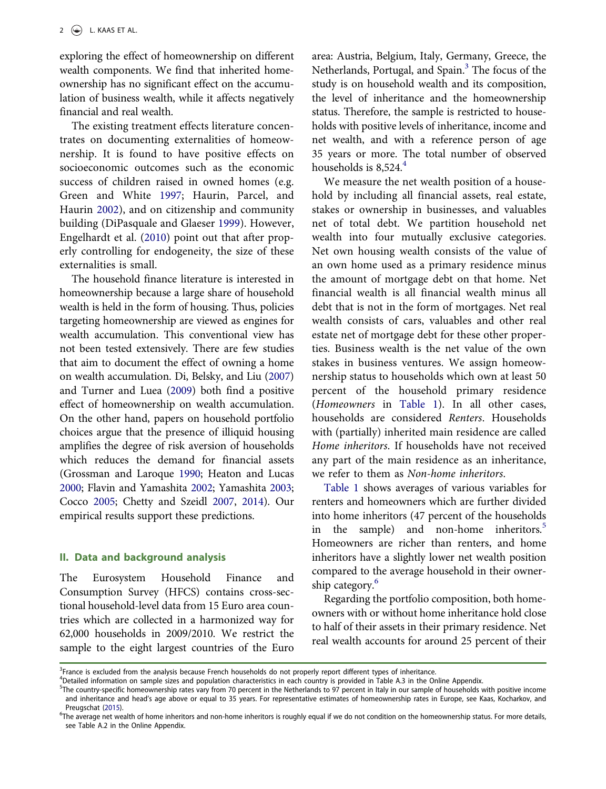exploring the effect of homeownership on different wealth components. We find that inherited homeownership has no significant effect on the accumulation of business wealth, while it affects negatively financial and real wealth.

<span id="page-2-8"></span>The existing treatment effects literature concentrates on documenting externalities of homeownership. It is found to have positive effects on socioeconomic outcomes such as the economic success of children raised in owned homes (e.g. Green and White [1997;](#page-6-8) Haurin, Parcel, and Haurin [2002](#page-6-9)), and on citizenship and community building (DiPasquale and Glaeser [1999](#page-6-10)). However, Engelhardt et al. [\(2010](#page-6-11)) point out that after properly controlling for endogeneity, the size of these externalities is small.

<span id="page-2-12"></span><span id="page-2-10"></span><span id="page-2-6"></span><span id="page-2-5"></span>The household finance literature is interested in homeownership because a large share of household wealth is held in the form of housing. Thus, policies targeting homeownership are viewed as engines for wealth accumulation. This conventional view has not been tested extensively. There are few studies that aim to document the effect of owning a home on wealth accumulation. Di, Belsky, and Liu [\(2007\)](#page-6-1) and Turner and Luea [\(2009](#page-6-12)) both find a positive effect of homeownership on wealth accumulation. On the other hand, papers on household portfolio choices argue that the presence of illiquid housing amplifies the degree of risk aversion of households which reduces the demand for financial assets (Grossman and Laroque [1990;](#page-6-13) Heaton and Lucas [2000;](#page-6-14) Flavin and Yamashita [2002;](#page-6-15) Yamashita [2003](#page-6-16); Cocco [2005;](#page-6-17) Chetty and Szeidl [2007,](#page-6-18) [2014](#page-6-19)). Our empirical results support these predictions.

#### <span id="page-2-9"></span><span id="page-2-7"></span><span id="page-2-4"></span>II. Data and background analysis

The Eurosystem Household Finance and Consumption Survey (HFCS) contains cross-sectional household-level data from 15 Euro area countries which are collected in a harmonized way for 62,000 households in 2009/2010. We restrict the sample to the eight largest countries of the Euro area: Austria, Belgium, Italy, Germany, Greece, the Netherlands, Portugal, and Spain.<sup>3</sup> The focus of the study is on household wealth and its composition, the level of inheritance and the homeownership status. Therefore, the sample is restricted to households with positive levels of inheritance, income and net wealth, and with a reference person of age 35 years or more. The total number of observed households is  $8,524.<sup>4</sup>$ 

We measure the net wealth position of a household by including all financial assets, real estate, stakes or ownership in businesses, and valuables net of total debt. We partition household net wealth into four mutually exclusive categories. Net own housing wealth consists of the value of an own home used as a primary residence minus the amount of mortgage debt on that home. Net financial wealth is all financial wealth minus all debt that is not in the form of mortgages. Net real wealth consists of cars, valuables and other real estate net of mortgage debt for these other properties. Business wealth is the net value of the own stakes in business ventures. We assign homeownership status to households which own at least 50 percent of the household primary residence (Homeowners in [Table 1\)](#page-3-0). In all other cases, households are considered Renters. Households with (partially) inherited main residence are called Home inheritors. If households have not received any part of the main residence as an inheritance, we refer to them as Non-home inheritors.

[Table 1](#page-3-0) shows averages of various variables for renters and homeowners which are further divided into home inheritors (47 percent of the households in the sample) and non-home inheritors.<sup>5</sup> Homeowners are richer than renters, and home inheritors have a slightly lower net wealth position compared to the average household in their owner-ship category.<sup>[6](#page-2-3)</sup>

Regarding the portfolio composition, both homeowners with or without home inheritance hold close to half of their assets in their primary residence. Net real wealth accounts for around 25 percent of their

<span id="page-2-0"></span><sup>&</sup>lt;sup>3</sup>France is excluded from the analysis because French households do not properly report different types of inheritance.

<span id="page-2-1"></span><sup>4</sup> Detailed information on sample sizes and population characteristics in each country is provided in Table A.3 in the Online Appendix.

<span id="page-2-2"></span><sup>&</sup>lt;sup>5</sup>The country-specific homeownership rates vary from 70 percent in the Netherlands to 97 percent in Italy in our sample of households with positive income and inheritance and head's age above or equal to 35 years. For representative estimates of homeownership rates in Europe, see Kaas, Kocharkov, and

<span id="page-2-11"></span><span id="page-2-3"></span>Preugschat [\(2015](#page-6-20)).<br><sup>6</sup>The average net wealth of home inheritors and non-home inheritors is roughly equal if we do not condition on the homeownership status. For more details, see Table A.2 in the Online Appendix.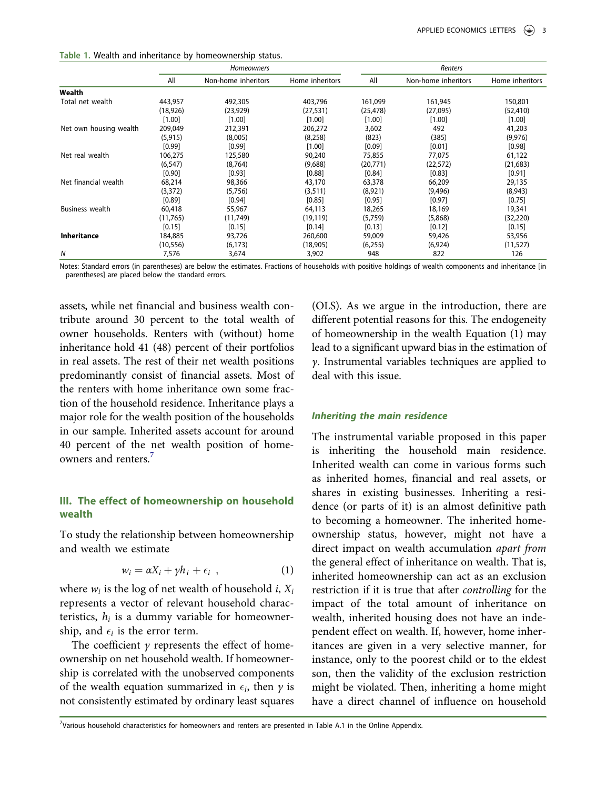<span id="page-3-0"></span>

| Table 1. Wealth and inheritance by homeownership status. |
|----------------------------------------------------------|
|----------------------------------------------------------|

|                        | Homeowners |                     |                 | Renters   |                     |                 |  |
|------------------------|------------|---------------------|-----------------|-----------|---------------------|-----------------|--|
|                        | All        | Non-home inheritors | Home inheritors | All       | Non-home inheritors | Home inheritors |  |
| Wealth                 |            |                     |                 |           |                     |                 |  |
| Total net wealth       | 443,957    | 492,305             | 403,796         | 161,099   | 161,945             | 150,801         |  |
|                        | (18,926)   | (23, 929)           | (27, 531)       | (25, 478) | (27,095)            | (52, 410)       |  |
|                        | [1.00]     | [1.00]              | [1.00]          | [1.00]    | [1.00]              | [1.00]          |  |
| Net own housing wealth | 209,049    | 212,391             | 206,272         | 3,602     | 492                 | 41,203          |  |
|                        | (5, 915)   | (8,005)             | (8, 258)        | (823)     | (385)               | (9,976)         |  |
|                        | [0.99]     | [0.99]              | [1.00]          | [0.09]    | [0.01]              | [0.98]          |  |
| Net real wealth        | 106,275    | 125,580             | 90,240          | 75,855    | 77,075              | 61,122          |  |
|                        | (6, 547)   | (8, 764)            | (9,688)         | (20,771)  | (22, 572)           | (21, 683)       |  |
|                        | $[0.90]$   | [0.93]              | [0.88]          | [0.84]    | [0.83]              | [0.91]          |  |
| Net financial wealth   | 68,214     | 98,366              | 43,170          | 63,378    | 66,209              | 29,135          |  |
|                        | (3, 372)   | (5,756)             | (3,511)         | (8,921)   | (9,496)             | (8,943)         |  |
|                        | [0.89]     | [0.94]              | $[0.85]$        | [0.95]    | [0.97]              | $[0.75]$        |  |
| <b>Business wealth</b> | 60,418     | 55,967              | 64,113          | 18,265    | 18,169              | 19,341          |  |
|                        | (11, 765)  | (11, 749)           | (19, 119)       | (5,759)   | (5,868)             | (32, 220)       |  |
|                        | [0.15]     | [0.15]              | [0.14]          | [0.13]    | [0.12]              | [0.15]          |  |
| <b>Inheritance</b>     | 184,885    | 93,726              | 260,600         | 59,009    | 59,426              | 53,956          |  |
|                        | (10, 556)  | (6, 173)            | (18,905)        | (6,255)   | (6,924)             | (11, 527)       |  |
| N                      | 7,576      | 3,674               | 3,902           | 948       | 822                 | 126             |  |

Notes: Standard errors (in parentheses) are below the estimates. Fractions of households with positive holdings of wealth components and inheritance [in parentheses] are placed below the standard errors.

assets, while net financial and business wealth contribute around 30 percent to the total wealth of owner households. Renters with (without) home inheritance hold 41 (48) percent of their portfolios in real assets. The rest of their net wealth positions predominantly consist of financial assets. Most of the renters with home inheritance own some fraction of the household residence. Inheritance plays a major role for the wealth position of the households in our sample. Inherited assets account for around 40 percent of the net wealth position of home-owners and renters.<sup>[7](#page-3-1)</sup>

## III. The effect of homeownership on household wealth

To study the relationship between homeownership and wealth we estimate

$$
w_i = \alpha X_i + \gamma h_i + \epsilon_i \quad , \tag{1}
$$

where  $w_i$  is the log of net wealth of household *i*,  $X_i$ represents a vector of relevant household characteristics,  $h_i$  is a dummy variable for homeownership, and  $\epsilon_i$  is the error term.

The coefficient  $\gamma$  represents the effect of homeownership on net household wealth. If homeownership is correlated with the unobserved components of the wealth equation summarized in  $\epsilon_i$ , then  $\gamma$  is not consistently estimated by ordinary least squares (OLS). As we argue in the introduction, there are different potential reasons for this. The endogeneity of homeownership in the wealth Equation (1) may lead to a significant upward bias in the estimation of γ. Instrumental variables techniques are applied to deal with this issue.

### Inheriting the main residence

The instrumental variable proposed in this paper is inheriting the household main residence. Inherited wealth can come in various forms such as inherited homes, financial and real assets, or shares in existing businesses. Inheriting a residence (or parts of it) is an almost definitive path to becoming a homeowner. The inherited homeownership status, however, might not have a direct impact on wealth accumulation apart from the general effect of inheritance on wealth. That is, inherited homeownership can act as an exclusion restriction if it is true that after controlling for the impact of the total amount of inheritance on wealth, inherited housing does not have an independent effect on wealth. If, however, home inheritances are given in a very selective manner, for instance, only to the poorest child or to the eldest son, then the validity of the exclusion restriction might be violated. Then, inheriting a home might have a direct channel of influence on household

<span id="page-3-1"></span>7 Various household characteristics for homeowners and renters are presented in Table A.1 in the Online Appendix.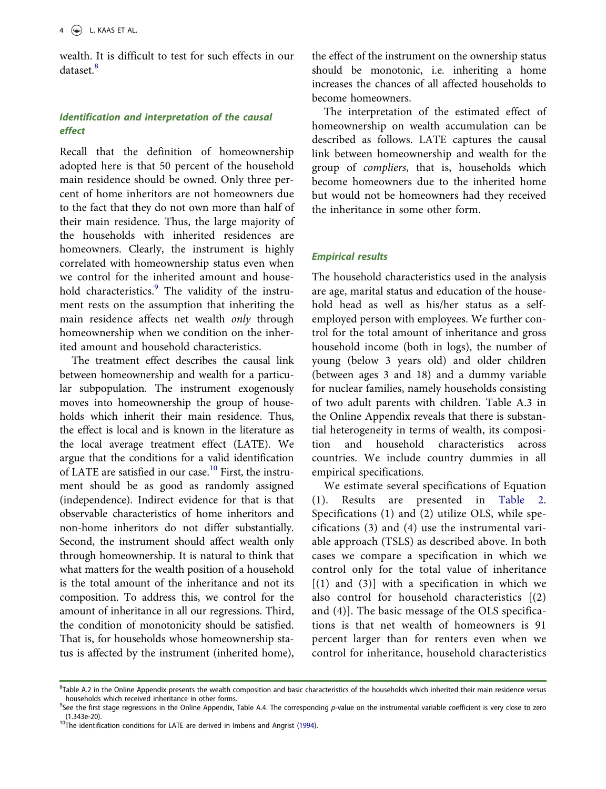wealth. It is difficult to test for such effects in our dataset.[8](#page-4-0)

# Identification and interpretation of the causal effect

Recall that the definition of homeownership adopted here is that 50 percent of the household main residence should be owned. Only three percent of home inheritors are not homeowners due to the fact that they do not own more than half of their main residence. Thus, the large majority of the households with inherited residences are homeowners. Clearly, the instrument is highly correlated with homeownership status even when we control for the inherited amount and house-hold characteristics.<sup>[9](#page-4-1)</sup> The validity of the instrument rests on the assumption that inheriting the main residence affects net wealth only through homeownership when we condition on the inherited amount and household characteristics.

The treatment effect describes the causal link between homeownership and wealth for a particular subpopulation. The instrument exogenously moves into homeownership the group of households which inherit their main residence. Thus, the effect is local and is known in the literature as the local average treatment effect (LATE). We argue that the conditions for a valid identification of LATE are satisfied in our case.<sup>[10](#page-4-2)</sup> First, the instrument should be as good as randomly assigned (independence). Indirect evidence for that is that observable characteristics of home inheritors and non-home inheritors do not differ substantially. Second, the instrument should affect wealth only through homeownership. It is natural to think that what matters for the wealth position of a household is the total amount of the inheritance and not its composition. To address this, we control for the amount of inheritance in all our regressions. Third, the condition of monotonicity should be satisfied. That is, for households whose homeownership status is affected by the instrument (inherited home), the effect of the instrument on the ownership status should be monotonic, i.e. inheriting a home increases the chances of all affected households to become homeowners.

The interpretation of the estimated effect of homeownership on wealth accumulation can be described as follows. LATE captures the causal link between homeownership and wealth for the group of compliers, that is, households which become homeowners due to the inherited home but would not be homeowners had they received the inheritance in some other form.

# Empirical results

The household characteristics used in the analysis are age, marital status and education of the household head as well as his/her status as a selfemployed person with employees. We further control for the total amount of inheritance and gross household income (both in logs), the number of young (below 3 years old) and older children (between ages 3 and 18) and a dummy variable for nuclear families, namely households consisting of two adult parents with children. Table A.3 in the Online Appendix reveals that there is substantial heterogeneity in terms of wealth, its composition and household characteristics across countries. We include country dummies in all empirical specifications.

We estimate several specifications of Equation (1). Results are presented in [Table 2.](#page-5-0) Specifications (1) and (2) utilize OLS, while specifications (3) and (4) use the instrumental variable approach (TSLS) as described above. In both cases we compare a specification in which we control only for the total value of inheritance  $[(1)$  and  $(3)]$  with a specification in which we also control for household characteristics [(2) and (4)]. The basic message of the OLS specifications is that net wealth of homeowners is 91 percent larger than for renters even when we control for inheritance, household characteristics

<span id="page-4-0"></span><sup>&</sup>lt;sup>8</sup>Table A.2 in the Online Appendix presents the wealth composition and basic characteristics of the households which inherited their main residence versus households which received inheritance in other forms.

<span id="page-4-1"></span><sup>&</sup>lt;sup>9</sup>See the first stage regressions in the Online Appendix, Table A.4. The corresponding p-value on the instrumental variable coefficient is very close to zero (1.343e-20).

<span id="page-4-2"></span> $10$ The identification conditions for LATE are derived in Imbens and Angrist ([1994](#page-6-21)).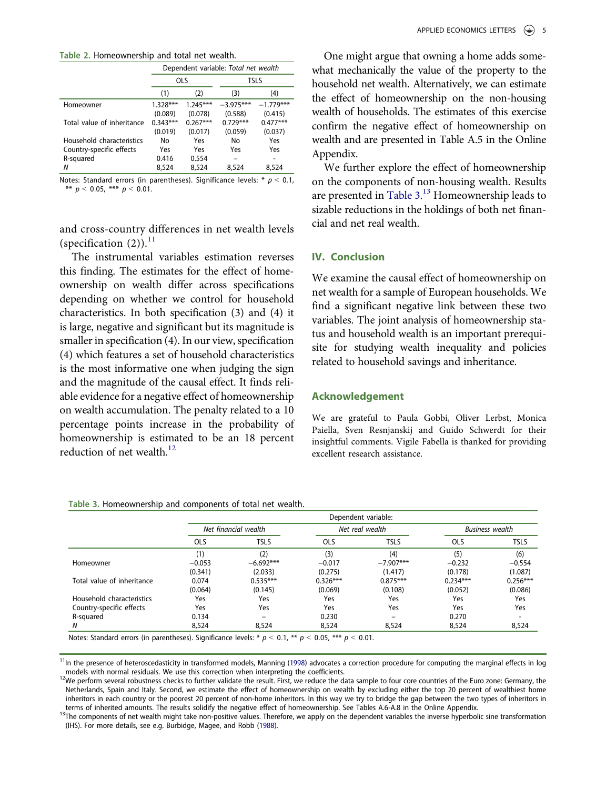<span id="page-5-0"></span>Table 2. Homeownership and total net wealth.

|                            | Dependent variable: Total net wealth |            |             |             |  |
|----------------------------|--------------------------------------|------------|-------------|-------------|--|
|                            |                                      | <b>OLS</b> | <b>TSLS</b> |             |  |
|                            | (1)                                  | (2)        | (3)         | (4)         |  |
| Homeowner                  | $1.328***$                           | $1.245***$ | $-3.975***$ | $-1.779***$ |  |
|                            | (0.089)                              | (0.078)    | (0.588)     | (0.415)     |  |
| Total value of inheritance | $0.343***$                           | $0.267***$ | $0.729***$  | $0.477***$  |  |
|                            | (0.019)                              | (0.017)    | (0.059)     | (0.037)     |  |
| Household characteristics  | No                                   | Yes        | No          | Yes         |  |
| Country-specific effects   | Yes                                  | Yes        | Yes         | Yes         |  |
| R-squared                  | 0.416                                | 0.554      |             |             |  |
| N                          | 8,524                                | 8,524      | 8,524       | 8,524       |  |

Notes: Standard errors (in parentheses). Significance levels:  $* p < 0.1$ , \*\*  $p < 0.05$ , \*\*\*  $p < 0.01$ .

and cross-country differences in net wealth levels (specification  $(2)$ ).<sup>[11](#page-5-1)</sup>

The instrumental variables estimation reverses this finding. The estimates for the effect of homeownership on wealth differ across specifications depending on whether we control for household characteristics. In both specification (3) and (4) it is large, negative and significant but its magnitude is smaller in specification (4). In our view, specification (4) which features a set of household characteristics is the most informative one when judging the sign and the magnitude of the causal effect. It finds reliable evidence for a negative effect of homeownership on wealth accumulation. The penalty related to a 10 percentage points increase in the probability of homeownership is estimated to be an 18 percent reduction of net wealth. $12$ 

One might argue that owning a home adds somewhat mechanically the value of the property to the household net wealth. Alternatively, we can estimate the effect of homeownership on the non-housing wealth of households. The estimates of this exercise confirm the negative effect of homeownership on wealth and are presented in Table A.5 in the Online Appendix.

We further explore the effect of homeownership on the components of non-housing wealth. Results are presented in [Table 3.](#page-5-3)<sup>[13](#page-5-4)</sup> Homeownership leads to sizable reductions in the holdings of both net financial and net real wealth.

# IV. Conclusion

We examine the causal effect of homeownership on net wealth for a sample of European households. We find a significant negative link between these two variables. The joint analysis of homeownership status and household wealth is an important prerequisite for studying wealth inequality and policies related to household savings and inheritance.

#### Acknowledgement

We are grateful to Paula Gobbi, Oliver Lerbst, Monica Paiella, Sven Resnjanskij and Guido Schwerdt for their insightful comments. Vigile Fabella is thanked for providing excellent research assistance.

|                            | Dependent variable:  |             |                 |             |                        |             |
|----------------------------|----------------------|-------------|-----------------|-------------|------------------------|-------------|
|                            | Net financial wealth |             | Net real wealth |             | <b>Business</b> wealth |             |
|                            | <b>OLS</b>           | <b>TSLS</b> | <b>OLS</b>      | <b>TSLS</b> | <b>OLS</b>             | <b>TSLS</b> |
|                            | (1)                  | (2)         | (3)             | (4)         | (5)                    | (6)         |
| Homeowner                  | $-0.053$             | $-6.692***$ | $-0.017$        | $-7.907***$ | $-0.232$               | $-0.554$    |
|                            | (0.341)              | (2.033)     | (0.275)         | (1.417)     | (0.178)                | (1.087)     |
| Total value of inheritance | 0.074                | $0.535***$  | $0.326***$      | $0.875***$  | $0.234***$             | $0.256***$  |
|                            | (0.064)              | (0.145)     | (0.069)         | (0.108)     | (0.052)                | (0.086)     |
| Household characteristics  | Yes                  | Yes         | Yes             | Yes         | Yes                    | Yes         |
| Country-specific effects   | Yes                  | Yes         | Yes             | Yes         | Yes                    | Yes         |
| R-squared                  | 0.134                |             | 0.230           |             | 0.270                  |             |
| N                          | 8,524                | 8,524       | 8,524           | 8,524       | 8,524                  | 8,524       |

<span id="page-5-3"></span>Table 3. Homeownership and components of total net wealth.

<span id="page-5-1"></span><sup>11</sup>In the presence of heteroscedasticity in transformed models, Manning [\(1998\)](#page-6-22) advocates a correction procedure for computing the marginal effects in log models with normal residuals. We use this correction when interpreting the coefficients.<br><sup>12</sup>We perform several robustness checks to further validate the result. First, we reduce the data sample to four core countries of t

<span id="page-5-2"></span>Netherlands, Spain and Italy. Second, we estimate the effect of homeownership on wealth by excluding either the top 20 percent of wealthiest home inheritors in each country or the poorest 20 percent of non-home inheritors. In this way we try to bridge the gap between the two types of inheritors in terms of inheritors in terms of inheritors in terms of inheritors in

<span id="page-5-5"></span><span id="page-5-4"></span><sup>&</sup>lt;sup>13</sup>The components of net wealth might take non-positive values. Therefore, we apply on the dependent variables the inverse hyperbolic sine transformation (IHS). For more details, see e.g. Burbidge, Magee, and Robb ([1988\)](#page-6-23).